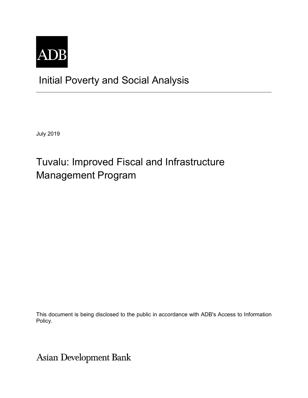

# Initial Poverty and Social Analysis

July 2019

# Tuvalu: Improved Fiscal and Infrastructure Management Program

This document is being disclosed to the public in accordance with ADB's Access to Information Policy.

**Asian Development Bank**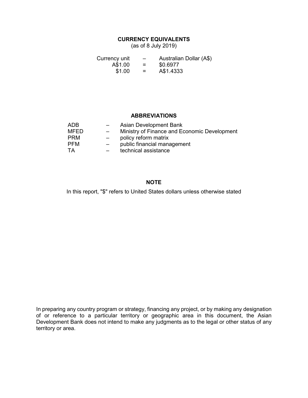## **CURRENCY EQUIVALENTS**

(as of 8 July 2019)

| Currency unit | $\overline{\phantom{0}}$ | Australian Dollar (A\$) |
|---------------|--------------------------|-------------------------|
| A\$1.00       | $=$                      | \$0.6977                |
| \$1.00        | $=$                      | A\$1.4333               |

### **ABBREVIATIONS**

| ADB        | Asian Development Bank                       |
|------------|----------------------------------------------|
| MFED       | Ministry of Finance and Economic Development |
| <b>PRM</b> | policy reform matrix                         |
| <b>PFM</b> | public financial management                  |
| TΑ         | technical assistance                         |

## **NOTE**

In this report, "\$" refers to United States dollars unless otherwise stated

In preparing any country program or strategy, financing any project, or by making any designation of or reference to a particular territory or geographic area in this document, the Asian Development Bank does not intend to make any judgments as to the legal or other status of any territory or area.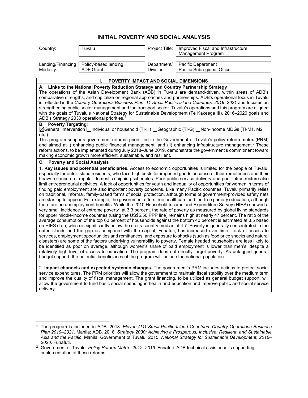## **INITIAL POVERTY AND SOCIAL ANALYSIS**

| Country:  | Γuvalu                                   | Project Title: | Improved Fiscal and Infrastructure<br>Management Program |
|-----------|------------------------------------------|----------------|----------------------------------------------------------|
| Modality: | Lending/Financing   Policy-based lending | Department/    | Pacific Department                                       |
|           | <b>ADF Grant</b>                         | Division:      | Pacific Subregional Office                               |

#### **I. POVERTY IMPACT AND SOCIAL DIMENSIONS A. Links to the National Poverty Reduction Strategy and Country Partnership Strategy** The operations of the Asian Development Bank (ADB) in Tuvalu are demand-driven, within areas of ADB's comparative strengths, and capitalize on regional approaches and partnerships. ADB's operational focus in Tuvalu is reflected in the *Country Operations Business Plan: 11 Small Pacific Island Countries, 2019–2021* and focuses on strengthening public sector management and the transport sector. Tuvalu's operations and this program are aligned with the goals of Tuvalu's National Strategy for Sustainable Development (Te Kakeega III), 2016–2020 goals and ADB's Strategy 2030 operational priorities.<sup>1</sup> **B. Poverty Targeting**: General intervention Individual or household (TI-H) Geographic (TI-G) Non-income MDGs (TI-M1, M2, etc.) This program supports government reforms prioritized in the Government of Tuvalu's policy reform matrix (PRM) and aimed at i) enhancing public financial management, and (ii) enhancing infrastructure management.<sup>2</sup> These reform actions, to be implemented during July 2018–June 2019, demonstrate the government's commitment toward making economic growth more efficient, sustainable, and resilient. **C. Poverty and Social Analysis** 1. **Key issues and potential beneficiaries.** Access to economic opportunities is limited for the people of Tuvalu, especially for outer-island residents, who face high costs for imported goods because of their remoteness and their heavy reliance on irregular domestic shipping schedules. Poor public service delivery and poor infrastructure also limit entrepreneurial activities. A lack of opportunities for youth and inequality of opportunities for women in terms of finding paid employment are also important poverty concerns. Like many Pacific countries, Tuvalu primarily relies on traditional, informal, family-based forms of social protection, although forms of government-provided safety nets are starting to appear. For example, the government offers free healthcare and fee-free primary education, although there are no unemployment benefits. While the 2010 Household Income and Expenditure Survey (HIES) showed a very small incidence of extreme poverty $^3$  at 3.3 percent, the rate of poverty as measured by global living standards for upper middle-income countries (using the US\$5.50 PPP line) remains high at nearly 47 percent. The ratio of the average consumption of the top 60 percent of households against the bottom 40 percent is estimated at 3.5 based on HIES data, which is significantly below the cross-country median of 4.7. Poverty is generally concentrated in the outer islands and the gap as compared with the capital, Funafuti, has increased over time. Lack of access to services, employment opportunities and remittances, and exposure to shocks (such as food price shocks and natural disasters) are some of the factors underlying vulnerability to poverty. Female headed households are less likely to be identified as poor on average, although women's share of paid employment is lower than men's, despite a relatively high level of access to education. The program does not directly target poverty. As untagged general budget support, the potential beneficiaries of the program will include the national population.

2. **Impact channels and expected systemic changes.** The government's PRM includes actions to protect social service expenditures. The PRM priorities will allow the government to maintain fiscal stability over the medium term and improve the quality of fiscal management. The grant financing, to be utilized as general budget support, will allow the government to fund basic social spending in health and education and improve public and social service delivery

<sup>1</sup> The program is included in ADB. 2018. *Eleven (11) Small Pacific Island Countries: Country Operations Business Plan 2019–2021.* Manila; ADB. 2018. *Strategy 2030: Achieving a Prosperous, Inclusive, Resilient, and Sustainable Asia and the Pacific*. Manila; Government of Tuvalu. 2015. *National Strategy for Sustainable Development, 2016– 2020.* Funafuti.

<sup>2</sup> Government of Tuvalu. *Policy Reform Matrix: 2012–2019*. Funafuti. ADB technical assistance is supporting implementation of these reforms.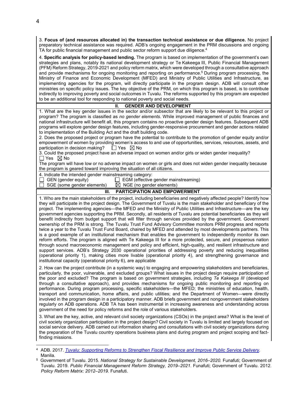3. **Focus of (and resources allocated in) the transaction technical assistance or due diligence.** No project preparatory technical assistance was required. ADB's ongoing engagement in the PRM discussions and ongoing TA for public financial management and public sector reform support due diligence.<sup>4</sup>

4. **Specific analysis for policy-based lending.** The program is based on implementation of the government's own strategies and plans, notably its national development strategy or Te Kakeega III, Public Financial Management (PFM) Reform Strategy, 2019-2021 and policy reform matrix, which were developed through a consultative approach and provide mechanisms for ongoing monitoring and reporting on performance.<sup>5</sup> During program processing, the Ministry of Finance and Economic Development (MFED) and Ministry of Public Utilities and Infrastructure, as implementing agencies for the program, will directly participate in the program design. ADB will consult other ministries on specific policy issues. The key objective of the PRM, on which this program is based, is to contribute indirectly to improving poverty and social outcomes in Tuvalu. The reforms supported by this program are expected to be an additional tool for responding to national poverty and social needs.

#### **II. GENDER AND DEVELOPMENT**

1. What are the key gender issues in the sector and/or subsector that are likely to be relevant to this project or program? The program is classified as *no gender elements*. While improved management of public finances and national infrastructure will benefit all, this program contains no proactive gender design features. Subsequent ADB programs will explore gender design features, including gender-responsive procurement and gender actions related to implementation of the Building Act and the draft building code.

2. Does the proposed project or program have the potential to contribute to the promotion of gender equity and/or empowerment of women by providing women's access to and use of opportunities, services, resources, assets, and participation in decision making?  $\Box$  Yes  $\boxtimes$  No

3. Could the proposed project have an adverse impact on women and/or girls or widen gender inequality?  $\Box$  Yes  $\boxtimes$  No

The program will have low or no adverse impact on women or girls and does not widen gender inequality because the program is geared toward improving the situation of all citizens.

4. Indicate the intended gender mainstreaming category:<br>  $\Box$  GEN (gender equity)  $\Box$  EGM (effective

 $\Box$  GEN (gender equity)  $\Box$  EGM (effective gender mainstreaming)  $\Box$  SGE (some gender elements)  $\boxtimes$  NGE (no gender elements)

 $\boxtimes$  NGE (no gender elements)

#### **III. PARTICIPATION AND EMPOWERMENT**

1. Who are the main stakeholders of the project, including beneficiaries and negatively affected people? Identify how they will participate in the project design. The Government of Tuvalu is the main stakeholder and beneficiary of the project. The implementing agencies—the MFED and the Ministry of Public Utilities and Infrastructure—are the key government agencies supporting the PRM. Secondly, all residents of Tuvalu are potential beneficiaries as they will benefit indirectly from budget support that will filter through services provided by the government. Government ownership of the PRM is strong. The Tuvalu Trust Fund Advisory Committee monitors PRM progress and reports twice a year to the Tuvalu Trust Fund Board, chaired by MFED and attended by most developments partners. This is a good example of an institutional mechanism that enables the government to independently monitor its own reform efforts. The program is aligned with Te Kakeega III for a more protected, secure, and prosperous nation through sound macroeconomic management and policy and efficient, high-quality, and resilient infrastructure and support services. ADB's Strategy 2030 operational priorities of addressing poverty and reducing inequalities (operational priority 1), making cities more livable (operational priority 4), and strengthening governance and institutional capacity (operational priority 6), are applicable

2. How can the project contribute (in a systemic way) to engaging and empowering stakeholders and beneficiaries, particularly, the poor, vulnerable, and excluded groups? What issues in the project design require participation of the poor and excluded? The program is based on government strategies, including *Te Kakeega III* (developed through a consultative approach), and provides mechanisms for ongoing public monitoring and reporting on performance. During program processing, specific stakeholders—the MFED; the ministries of education, health, transport and communication, home affairs, and public utilities; and the Department of Women—were directly involved in the program design in a participatory manner. ADB briefs government and nongovernment stakeholders regularly on ADB operations. ADB TA has been instrumental in increasing awareness and understanding across government of the need for policy reforms and the role of various stakeholders.

3. What are the key, active, and relevant civil society organizations (CSOs) in the project area? What is the level of civil society organization participation in the project design? Civil society in Tuvalu is limited and largely focused on social service delivery. ADB carried out information sharing and consultations with civil society organizations during the preparation of the Tuvalu country operations business plans and during program and project scoping and factfinding missions.

 $\overline{a}$ 

<sup>4</sup> ADB. 2017. *Tuvalu: Supporting Reforms to Strengthen Fiscal Resilience and Improve Public Service Delivery.*  Manila.

<sup>5</sup> Government of Tuvalu. 2015. *National Strategy for Sustainable Development, 2016–2020.* Funafuti; Government of Tuvalu. 2019. *Public Financial Management Reform Strategy, 2019–2021*. Funafuti; Government of Tuvalu. 2012. *Policy Reform Matrix: 2012–2019*. Funafuti.